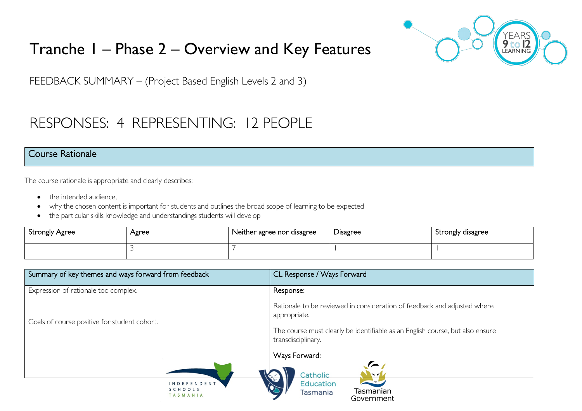

# Tranche 1 – Phase 2 – Overview and Key Features

FEEDBACK SUMMARY – (Project Based English Levels 2 and 3)

# RESPONSES: 4 REPRESENTING: 12 PEOPLE

#### Course Rationale

The course rationale is appropriate and clearly describes:

- the intended audience.
- why the chosen content is important for students and outlines the broad scope of learning to be expected
- the particular skills knowledge and understandings students will develop

| <b>Strongly Agree</b> | Agree | Neither agree nor disagree | Disagree | Strongly disagree |
|-----------------------|-------|----------------------------|----------|-------------------|
|                       |       |                            |          |                   |

| Summary of key themes and ways forward from feedback | CL Response / Ways Forward                                                                          |
|------------------------------------------------------|-----------------------------------------------------------------------------------------------------|
| Expression of rationale too complex.                 | Response:                                                                                           |
| Goals of course positive for student cohort.         | Rationale to be reviewed in consideration of feedback and adjusted where<br>appropriate.            |
|                                                      | The course must clearly be identifiable as an English course, but also ensure<br>transdisciplinary. |
|                                                      | Ways Forward:                                                                                       |
|                                                      | ◚<br>Catholic<br><b>NZV</b>                                                                         |
| <b>INDEPENDENT</b><br>SCHOOLS<br>TASMANIA            | $\blacktriangleright$<br><b>Education</b><br>Tasmanian<br>Tasmania                                  |

Government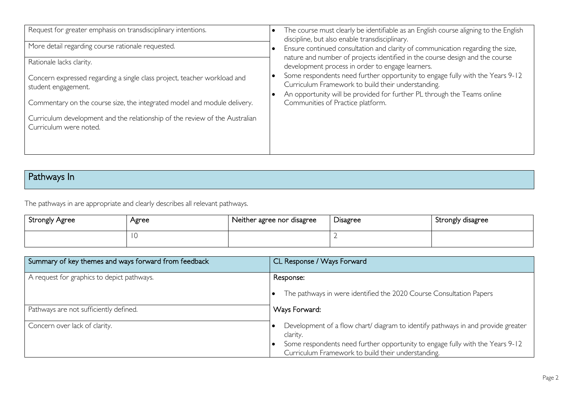| Request for greater emphasis on transdisciplinary intentions.<br>More detail regarding course rationale requested.<br>Rationale lacks clarity.<br>Concern expressed regarding a single class project, teacher workload and<br>student engagement.<br>Commentary on the course size, the integrated model and module delivery.<br>Curriculum development and the relationship of the review of the Australian<br>Curriculum were noted. | The course must clearly be identifiable as an English course aligning to the English<br>discipline, but also enable transdisciplinary.<br>Ensure continued consultation and clarity of communication regarding the size,<br>nature and number of projects identified in the course design and the course<br>development process in order to engage learners.<br>Some respondents need further opportunity to engage fully with the Years 9-12<br>Curriculum Framework to build their understanding.<br>An opportunity will be provided for further PL through the Teams online<br>Communities of Practice platform. |
|----------------------------------------------------------------------------------------------------------------------------------------------------------------------------------------------------------------------------------------------------------------------------------------------------------------------------------------------------------------------------------------------------------------------------------------|---------------------------------------------------------------------------------------------------------------------------------------------------------------------------------------------------------------------------------------------------------------------------------------------------------------------------------------------------------------------------------------------------------------------------------------------------------------------------------------------------------------------------------------------------------------------------------------------------------------------|
|                                                                                                                                                                                                                                                                                                                                                                                                                                        |                                                                                                                                                                                                                                                                                                                                                                                                                                                                                                                                                                                                                     |

# Pathways In

The pathways in are appropriate and clearly describes all relevant pathways.

| Strongly Agree | Agree | Neither agree nor disagree | Disagree | Strongly disagree |
|----------------|-------|----------------------------|----------|-------------------|
|                |       |                            |          |                   |

| Summary of key themes and ways forward from feedback | CL Response / Ways Forward                                                                                                          |
|------------------------------------------------------|-------------------------------------------------------------------------------------------------------------------------------------|
| A request for graphics to depict pathways.           | Response:                                                                                                                           |
|                                                      | The pathways in were identified the 2020 Course Consultation Papers                                                                 |
| Pathways are not sufficiently defined.               | Ways Forward:                                                                                                                       |
| Concern over lack of clarity.                        | Development of a flow chart/ diagram to identify pathways in and provide greater<br>clarity.                                        |
|                                                      | Some respondents need further opportunity to engage fully with the Years 9-12<br>Curriculum Framework to build their understanding. |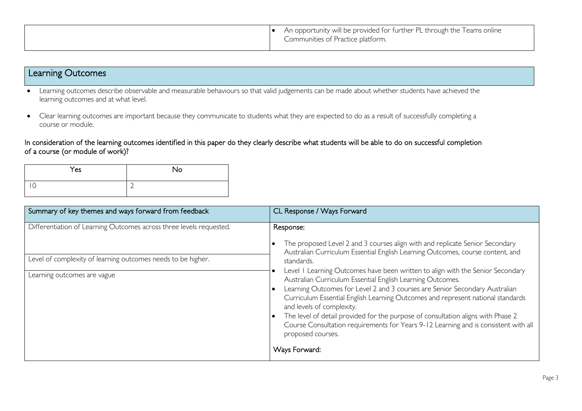|  | • An opportunity will be provided for further PL through the Teams online<br>Communities of Practice platform. |
|--|----------------------------------------------------------------------------------------------------------------|
|--|----------------------------------------------------------------------------------------------------------------|

### Learning Outcomes

- Learning outcomes describe observable and measurable behaviours so that valid judgements can be made about whether students have achieved the learning outcomes and at what level.
- Clear learning outcomes are important because they communicate to students what they are expected to do as a result of successfully completing a course or module.

In consideration of the learning outcomes identified in this paper do they clearly describe what students will be able to do on successful completion of a course (or module of work)?

| Yes | No |
|-----|----|
| . U | ∽  |

| Summary of key themes and ways forward from feedback                                                                                                               | CL Response / Ways Forward                                                                                                                                                                                                                                                                                                                                                                                                                                                                                                                                                                                                                                                                                                                                |
|--------------------------------------------------------------------------------------------------------------------------------------------------------------------|-----------------------------------------------------------------------------------------------------------------------------------------------------------------------------------------------------------------------------------------------------------------------------------------------------------------------------------------------------------------------------------------------------------------------------------------------------------------------------------------------------------------------------------------------------------------------------------------------------------------------------------------------------------------------------------------------------------------------------------------------------------|
| Differentiation of Learning Outcomes across three levels requested.<br>Level of complexity of learning outcomes needs to be higher.<br>Learning outcomes are vague | Response:<br>The proposed Level 2 and 3 courses align with and replicate Senior Secondary<br>Australian Curriculum Essential English Learning Outcomes, course content, and<br>standards.<br>Level I Learning Outcomes have been written to align with the Senior Secondary<br>Australian Curriculum Essential English Learning Outcomes.<br>Learning Outcomes for Level 2 and 3 courses are Senior Secondary Australian<br>Curriculum Essential English Learning Outcomes and represent national standards<br>and levels of complexity.<br>The level of detail provided for the purpose of consultation aligns with Phase 2<br>Course Consultation requirements for Years 9-12 Learning and is consistent with all<br>proposed courses.<br>Ways Forward: |
|                                                                                                                                                                    |                                                                                                                                                                                                                                                                                                                                                                                                                                                                                                                                                                                                                                                                                                                                                           |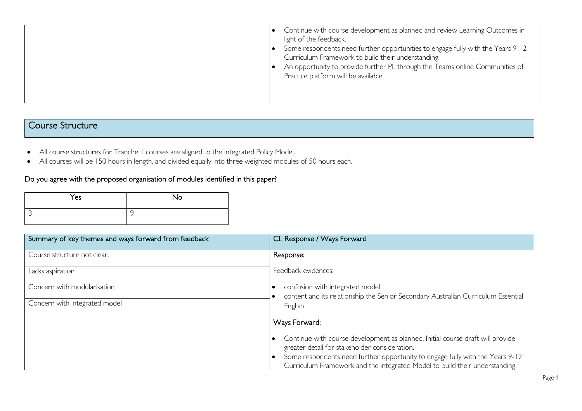### Course Structure

- All course structures for Tranche 1 courses are aligned to the Integrated Policy Model.
- All courses will be 150 hours in length, and divided equally into three weighted modules of 50 hours each.

#### Do you agree with the proposed organisation of modules identified in this paper?

| Yes | <b>No</b> |
|-----|-----------|
|     | G         |

| Summary of key themes and ways forward from feedback | CL Response / Ways Forward                                                                                                                                   |  |
|------------------------------------------------------|--------------------------------------------------------------------------------------------------------------------------------------------------------------|--|
| Course structure not clear.                          | Response:                                                                                                                                                    |  |
| Lacks aspiration                                     | Feedback evidences:                                                                                                                                          |  |
| Concern with modularisation                          | confusion with integrated model                                                                                                                              |  |
| Concern with integrated model                        | content and its relationship the Senior Secondary Australian Curriculum Essential<br>English                                                                 |  |
|                                                      | Ways Forward:                                                                                                                                                |  |
|                                                      | Continue with course development as planned. Initial course draft will provide<br>greater detail for stakeholder consideration.                              |  |
|                                                      | Some respondents need further opportunity to engage fully with the Years 9-12<br>Curriculum Framework and the integrated Model to build their understanding. |  |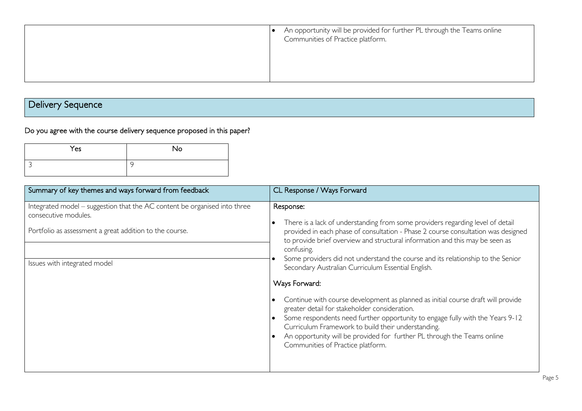| An opportunity will be provided for further PL through the Teams online<br>Communities of Practice platform. |
|--------------------------------------------------------------------------------------------------------------|
|                                                                                                              |
|                                                                                                              |

# Delivery Sequence

Do you agree with the course delivery sequence proposed in this paper?

| Yes | No. |
|-----|-----|
|     | C   |

| Summary of key themes and ways forward from feedback                                                                                                                                         | CL Response / Ways Forward                                                                                                                                                                                                                                                                                                                                                                                                                                                                                                                                                                                                                                                                                                                                                                                                           |
|----------------------------------------------------------------------------------------------------------------------------------------------------------------------------------------------|--------------------------------------------------------------------------------------------------------------------------------------------------------------------------------------------------------------------------------------------------------------------------------------------------------------------------------------------------------------------------------------------------------------------------------------------------------------------------------------------------------------------------------------------------------------------------------------------------------------------------------------------------------------------------------------------------------------------------------------------------------------------------------------------------------------------------------------|
| Integrated model - suggestion that the AC content be organised into three<br>consecutive modules.<br>Portfolio as assessment a great addition to the course.<br>Issues with integrated model | Response:<br>There is a lack of understanding from some providers regarding level of detail<br>provided in each phase of consultation - Phase 2 course consultation was designed<br>to provide brief overview and structural information and this may be seen as<br>confusing.<br>Some providers did not understand the course and its relationship to the Senior<br>Secondary Australian Curriculum Essential English.<br>Ways Forward:<br>Continue with course development as planned as initial course draft will provide<br>greater detail for stakeholder consideration.<br>Some respondents need further opportunity to engage fully with the Years 9-12<br>Curriculum Framework to build their understanding.<br>An opportunity will be provided for further PL through the Teams online<br>Communities of Practice platform. |
|                                                                                                                                                                                              |                                                                                                                                                                                                                                                                                                                                                                                                                                                                                                                                                                                                                                                                                                                                                                                                                                      |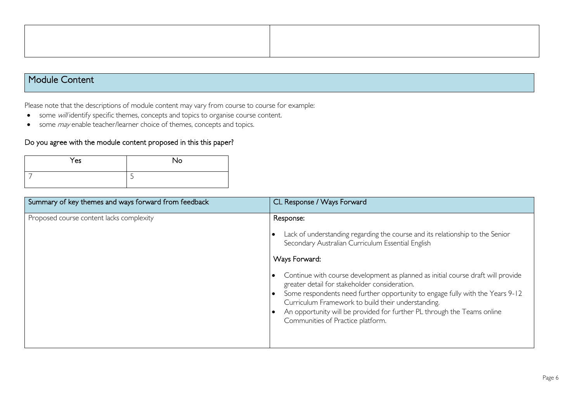### Module Content

Please note that the descriptions of module content may vary from course to course for example:

- some will identify specific themes, concepts and topics to organise course content.
- some *may* enable teacher/learner choice of themes, concepts and topics.

#### Do you agree with the module content proposed in this this paper?

| Yes | No |
|-----|----|
|     | ٮ  |

| Summary of key themes and ways forward from feedback | CL Response / Ways Forward                                                                                                                                                                                                                                                                                                                                                                                                                                                                                                                                   |
|------------------------------------------------------|--------------------------------------------------------------------------------------------------------------------------------------------------------------------------------------------------------------------------------------------------------------------------------------------------------------------------------------------------------------------------------------------------------------------------------------------------------------------------------------------------------------------------------------------------------------|
| Proposed course content lacks complexity             | Response:<br>Lack of understanding regarding the course and its relationship to the Senior<br>Secondary Australian Curriculum Essential English<br>Ways Forward:<br>Continue with course development as planned as initial course draft will provide<br>greater detail for stakeholder consideration.<br>Some respondents need further opportunity to engage fully with the Years 9-12<br>Curriculum Framework to build their understanding.<br>An opportunity will be provided for further PL through the Teams online<br>Communities of Practice platform. |